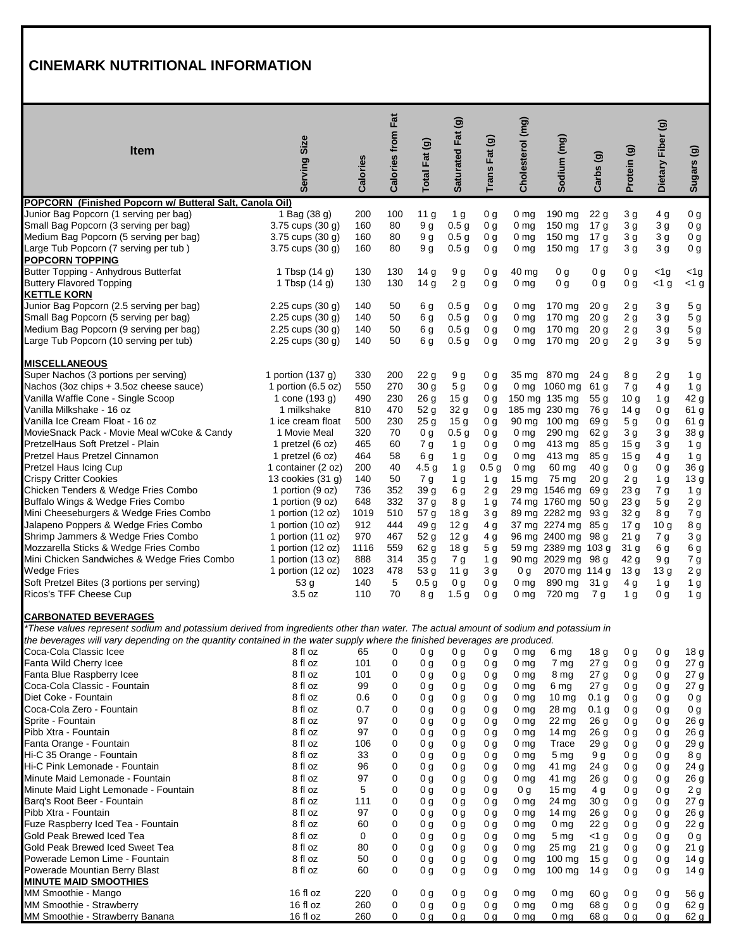## **CINEMARK NUTRITIONAL INFORMATION**

| <b>Item</b>                                                                                                                                                                                                                                                                                       | Size<br><b>Serving</b>                  | Calories   | <b>Calories from Fat</b> | Total Fat (g)                      | Saturated Fat (g)      | Trans Fat (g)                    | Cholesterol (mg)                  | Sodium (mg)                    | Carbs(g)                          | Protein (g)                        | Dietary Fiber (g)     | Sugars (g)            |
|---------------------------------------------------------------------------------------------------------------------------------------------------------------------------------------------------------------------------------------------------------------------------------------------------|-----------------------------------------|------------|--------------------------|------------------------------------|------------------------|----------------------------------|-----------------------------------|--------------------------------|-----------------------------------|------------------------------------|-----------------------|-----------------------|
| POPCORN (Finished Popcorn w/ Butteral Salt, Canola Oil)                                                                                                                                                                                                                                           |                                         |            |                          |                                    |                        |                                  |                                   |                                |                                   |                                    |                       |                       |
| Junior Bag Popcorn (1 serving per bag)                                                                                                                                                                                                                                                            | 1 Bag (38 g)                            | 200        | 100                      | 11 <sub>g</sub>                    | 1 <sub>g</sub>         | 0 <sub>g</sub>                   | 0 <sub>mg</sub>                   | 190 mg                         | 22 <sub>g</sub>                   | 3g                                 | 4 g                   | 0 <sub>g</sub>        |
| Small Bag Popcorn (3 serving per bag)                                                                                                                                                                                                                                                             | 3.75 cups (30 g)                        | 160        | 80                       | 9 <sub>q</sub>                     | 0.5 <sub>g</sub>       | 0 <sub>q</sub>                   | 0 <sub>mg</sub>                   | 150 mg                         | 17 <sub>q</sub>                   | 3 <sub>g</sub>                     | 3 <sub>q</sub>        | 0 <sub>g</sub>        |
| Medium Bag Popcorn (5 serving per bag)                                                                                                                                                                                                                                                            | 3.75 cups (30 g)                        | 160        | 80                       | 9 <sub>g</sub>                     | 0.5 <sub>g</sub>       | 0 g                              | 0 <sub>mg</sub>                   | 150 mg                         | 17 <sub>g</sub>                   | 3 <sub>g</sub>                     | 3 <sub>g</sub>        | 0 <sub>g</sub>        |
| Large Tub Popcorn (7 serving per tub)                                                                                                                                                                                                                                                             | 3.75 cups (30 g)                        | 160        | 80                       | 9 <sub>g</sub>                     | 0.5 <sub>g</sub>       | 0 g                              | 0 <sub>mg</sub>                   | 150 mg                         | 17 g                              | 3 <sub>g</sub>                     | 3 <sub>g</sub>        | 0 g                   |
| <b>POPCORN TOPPING</b>                                                                                                                                                                                                                                                                            |                                         |            |                          |                                    |                        |                                  |                                   |                                |                                   |                                    |                       |                       |
| Butter Topping - Anhydrous Butterfat                                                                                                                                                                                                                                                              | 1 Tbsp (14 g)                           | 130        | 130                      | 14 g                               | 9 <sub>g</sub>         | 0g                               | 40 mg                             | 0 g                            | 0 g                               | 0 <sub>g</sub>                     | $<$ 1g                | <1g                   |
| <b>Buttery Flavored Topping</b>                                                                                                                                                                                                                                                                   | 1 Tbsp (14 g)                           | 130        | 130                      | 14 <sub>g</sub>                    | 2g                     | 0 <sub>q</sub>                   | 0 <sub>mg</sub>                   | 0 <sub>q</sub>                 | 0 <sub>q</sub>                    | 0 <sub>g</sub>                     | $<$ 1 g               | $<$ 1 g               |
| <b>KETTLE KORN</b>                                                                                                                                                                                                                                                                                |                                         |            |                          |                                    |                        |                                  |                                   |                                |                                   |                                    |                       |                       |
| Junior Bag Popcorn (2.5 serving per bag)                                                                                                                                                                                                                                                          | $2.25$ cups $(30 g)$                    | 140        | 50                       | 6 g                                | 0.5 <sub>g</sub>       | 0g                               | 0 <sub>mg</sub>                   | 170 mg                         | 20 <sub>q</sub>                   | 2g                                 | 3 <sub>g</sub>        | 5 <sub>g</sub>        |
| Small Bag Popcorn (5 serving per bag)                                                                                                                                                                                                                                                             | $2.25$ cups $(30 g)$                    | 140        | 50                       | 6 g                                | 0.5 <sub>g</sub>       | 0 <sub>q</sub>                   | 0 <sub>mg</sub>                   | 170 mg                         | 20 <sub>q</sub>                   | 2g                                 | 3 <sub>g</sub>        | 5 <sub>g</sub>        |
| Medium Bag Popcorn (9 serving per bag)                                                                                                                                                                                                                                                            | $2.25$ cups $(30 g)$                    | 140        | 50                       | 6 g                                | 0.5 <sub>g</sub>       | 0 <sub>g</sub>                   | 0 <sub>mg</sub>                   | 170 mg                         | 20 <sub>q</sub>                   | 2g                                 | 3 <sub>g</sub>        | 5 <sub>g</sub>        |
| Large Tub Popcorn (10 serving per tub)                                                                                                                                                                                                                                                            | $2.25$ cups $(30 g)$                    | 140        | 50                       | 6 g                                | 0.5 <sub>g</sub>       | 0 <sub>q</sub>                   | 0 <sub>mg</sub>                   | 170 mg                         | 20 <sub>q</sub>                   | 2g                                 | 3 <sub>g</sub>        | 5 <sub>g</sub>        |
| <b>MISCELLANEOUS</b>                                                                                                                                                                                                                                                                              |                                         |            |                          |                                    |                        |                                  |                                   |                                |                                   |                                    |                       |                       |
| Super Nachos (3 portions per serving)                                                                                                                                                                                                                                                             | 1 portion (137 g)                       | 330        | 200                      | 22 g                               | 9 <sub>g</sub>         | 0 <sub>q</sub>                   |                                   | 35 mg 870 mg                   | 24 g                              | 8 g                                | 2g                    | 1 g                   |
| Nachos (3oz chips + 3.5oz cheese sauce)                                                                                                                                                                                                                                                           | 1 portion (6.5 oz)                      | 550        | 270                      | 30 g                               | 5 <sub>g</sub>         | 0g                               |                                   | 0 mg 1060 mg                   | 61 g                              | 7 g                                | 4 <sub>g</sub>        | 1 <sub>g</sub>        |
| Vanilla Waffle Cone - Single Scoop                                                                                                                                                                                                                                                                | 1 cone (193 g)                          | 490        | 230                      | 26 <sub>g</sub>                    | 15 <sub>g</sub>        | 0 g                              |                                   | 150 mg 135 mg                  | 55 <sub>q</sub>                   | 10 <sub>q</sub>                    | 1 g                   | 42 <sub>g</sub>       |
| Vanilla Milkshake - 16 oz                                                                                                                                                                                                                                                                         | 1 milkshake                             | 810        | 470                      | 52 <sub>g</sub>                    | 32 <sub>g</sub>        | 0g                               |                                   | 185 mg 230 mg                  | 76 g                              | 14 g                               | 0 g                   | 61 g                  |
| Vanilla Ice Cream Float - 16 oz                                                                                                                                                                                                                                                                   | 1 ice cream float                       | 500        | 230                      | 25 <sub>g</sub>                    | 15 <sub>g</sub>        | 0g                               |                                   | 90 mg 100 mg                   | 69 g                              | 5 <sub>g</sub>                     | 0 <sub>q</sub>        | 61 g                  |
| MovieSnack Pack - Movie Meal w/Coke & Candy                                                                                                                                                                                                                                                       | 1 Movie Meal                            | 320        | 70                       | 0 <sub>g</sub>                     | 0.5g                   | 0 <sub>q</sub>                   | 0 <sub>mg</sub>                   | 290 mg                         | 62 <sub>g</sub>                   | 3 <sub>g</sub>                     | 3 <sub>g</sub>        | 38 g                  |
| PretzelHaus Soft Pretzel - Plain                                                                                                                                                                                                                                                                  | 1 pretzel (6 oz)                        | 465        | 60                       | 7 g                                | 1 <sub>g</sub>         | 0g                               | 0 mg                              | 413 mg                         | 85 g                              | 15 g                               | 3 <sub>g</sub>        | 1 <sub>g</sub>        |
| Pretzel Haus Pretzel Cinnamon                                                                                                                                                                                                                                                                     | 1 pretzel (6 oz)                        | 464        | 58                       | 6 g                                | 1 <sub>g</sub>         | 0g                               | 0 <sub>mg</sub>                   | 413 mg                         | 85 <sub>g</sub>                   | 15 <sub>g</sub>                    | 4 g                   | 1 <sub>g</sub>        |
| <b>Pretzel Haus Icing Cup</b>                                                                                                                                                                                                                                                                     | 1 container (2 oz)                      | 200        | 40                       | 4.5 <sub>g</sub>                   | 1 <sub>g</sub>         | 0.5 <sub>g</sub>                 | 0 mg                              | $60 \text{ mg}$                | 40 g                              | 0 g                                | 0 g                   | 36 <sub>g</sub>       |
| <b>Crispy Critter Cookies</b>                                                                                                                                                                                                                                                                     | 13 cookies (31 g)                       | 140        | 50                       | 7 g                                | 1 <sub>g</sub>         | 1 <sub>g</sub>                   | 15 mg                             | 75 mg                          | 20 <sub>q</sub>                   | 2g                                 | 1 <sub>g</sub>        | 13 <sub>g</sub>       |
| Chicken Tenders & Wedge Fries Combo                                                                                                                                                                                                                                                               | 1 portion (9 oz)                        | 736<br>648 | 352<br>332               | 39 g                               | 6 g                    | 2 <sub>q</sub>                   |                                   | 29 mg 1546 mg                  | 69 g                              | 23 <sub>q</sub>                    | 7 g                   | 1 <sub>g</sub>        |
| Buffalo Wings & Wedge Fries Combo<br>Mini Cheeseburgers & Wedge Fries Combo                                                                                                                                                                                                                       | 1 portion (9 oz)<br>1 portion $(12 oz)$ | 1019       | 510                      | 37 <sub>g</sub><br>57 <sub>g</sub> | 8 g<br>18 <sub>g</sub> | 1 <sub>g</sub><br>3 <sub>q</sub> |                                   | 74 mg 1760 mg<br>89 mg 2282 mg | 50 <sub>q</sub><br>93 g           | 23 <sub>g</sub><br>32 <sub>g</sub> | 5 <sub>g</sub><br>8 g | 2g<br>7 <sub>g</sub>  |
| Jalapeno Poppers & Wedge Fries Combo                                                                                                                                                                                                                                                              | 1 portion (10 oz)                       | 912        | 444                      | 49 g                               | 12 <sub>g</sub>        | 4 g                              |                                   | 37 mg 2274 mg 85 g             |                                   | 17 g                               | 10 g                  | 8 g                   |
| Shrimp Jammers & Wedge Fries Combo                                                                                                                                                                                                                                                                | 1 portion (11 oz)                       | 970        | 467                      | 52 g                               | 12 <sub>g</sub>        | 4 g                              |                                   | 96 mg 2400 mg                  | 98 g                              | 21 <sub>g</sub>                    | 7 g                   | 3 <sub>g</sub>        |
| Mozzarella Sticks & Wedge Fries Combo                                                                                                                                                                                                                                                             | 1 portion $(12 oz)$                     | 1116       | 559                      | 62 <sub>g</sub>                    | 18 <sub>g</sub>        | 5 <sub>g</sub>                   |                                   | 59 mg 2389 mg 103 g            |                                   | 31 <sub>g</sub>                    | 6 g                   | 6 g                   |
| Mini Chicken Sandwiches & Wedge Fries Combo                                                                                                                                                                                                                                                       | 1 portion (13 oz)                       | 888        | 314                      | 35 g                               | 7 g                    | 1 <sub>g</sub>                   |                                   | 90 mg 2029 mg                  | 98 g                              | 42 g                               | 9 <sub>g</sub>        | 7 <sub>g</sub>        |
| <b>Wedge Fries</b>                                                                                                                                                                                                                                                                                | 1 portion (12 oz)                       | 1023       | 478                      | 53 g                               | 11 <sub>q</sub>        | 3 <sub>q</sub>                   | 0 <sub>g</sub>                    | 2070 mg 114 g                  |                                   | 13 <sub>g</sub>                    | 13 <sub>q</sub>       | 2g                    |
| Soft Pretzel Bites (3 portions per serving)                                                                                                                                                                                                                                                       | 53 g                                    | 140        | 5                        | 0.5 <sub>g</sub>                   | 0 <sub>g</sub>         | 0g                               | 0 <sub>mg</sub>                   | 890 mg                         | 31 <sub>g</sub>                   | 4 g                                | 1 g                   | 1 g                   |
| Ricos's TFF Cheese Cup                                                                                                                                                                                                                                                                            | 3.5 oz                                  | 110        | 70                       | 8 g                                | 1.5 <sub>g</sub>       | 0 g                              | 0 <sub>mg</sub>                   | 720 mg                         | 7 g                               | 1 <sub>g</sub>                     | 0 <sub>q</sub>        | 1 <sub>g</sub>        |
| <b>CARBONATED BEVERAGES</b><br>*These values represent sodium and potassium derived from ingredients other than water. The actual amount of sodium and potassium in<br>the beverages will vary depending on the quantity contained in the water supply where the finished beverages are produced. |                                         |            |                          |                                    |                        |                                  |                                   |                                |                                   |                                    |                       |                       |
| Coca-Cola Classic Icee                                                                                                                                                                                                                                                                            | 8 fl oz                                 | 65         | 0                        | 0 g                                | 0 <sub>g</sub>         | 0 <sub>q</sub>                   | 0 <sub>mg</sub>                   | 6 mg                           | 18 <sub>g</sub>                   | 0 <sub>q</sub>                     | 0 <sub>q</sub>        | 18 <sub>g</sub>       |
| <b>Fanta Wild Cherry Icee</b>                                                                                                                                                                                                                                                                     | 8 fl oz                                 | 101        | 0                        | 0 <sub>g</sub>                     | 0 <sub>g</sub>         | 0 <sub>q</sub>                   | 0 <sub>mg</sub>                   | 7 mg                           | 27 <sub>g</sub>                   | 0 <sub>q</sub>                     | 0 <sub>q</sub>        | 27 g                  |
| Fanta Blue Raspberry Icee                                                                                                                                                                                                                                                                         | 8 fl oz                                 | 101        | 0                        | 0 g                                | 0 g                    | 0g                               | 0 <sub>mg</sub>                   | 8 mg                           | 27 <sub>g</sub>                   | 0 g                                | 0 <sub>q</sub>        | 27 <sub>g</sub>       |
| Coca-Cola Classic - Fountain                                                                                                                                                                                                                                                                      | 8 fl oz                                 | 99         | 0                        | 0 g                                | 0g                     | 0g                               | 0 <sub>mg</sub>                   | 6 mg                           | 27 <sub>g</sub>                   | 0 g                                | 0 g                   | 27 <sub>g</sub>       |
| Diet Coke - Fountain                                                                                                                                                                                                                                                                              | 8 fl oz                                 | 0.6        | 0                        | 0 g                                | 0 g                    | 0g                               | 0 <sub>mg</sub>                   | $10 \mathrm{mg}$               | 0.1 <sub>g</sub>                  | 0 g                                | 0 g                   | 0 <sub>g</sub>        |
| Coca-Cola Zero - Fountain                                                                                                                                                                                                                                                                         | 8 fl oz                                 | 0.7        | 0                        | 0 g                                | 0g                     | 0g                               | 0 <sub>mg</sub>                   | 28 mg                          | 0.1 <sub>g</sub>                  | 0 g                                | 0 g                   | 0 <sub>g</sub>        |
| Sprite - Fountain                                                                                                                                                                                                                                                                                 | 8 fl oz                                 | 97         | 0                        | 0 g                                | 0 g                    | 0 g                              | 0 <sub>mg</sub>                   | 22 mg                          | 26 <sub>g</sub>                   | 0 g                                | 0 g                   | 26 g                  |
| Pibb Xtra - Fountain                                                                                                                                                                                                                                                                              | 8 fl oz                                 | 97         | 0                        | 0 <sub>g</sub>                     | 0 g                    | 0g                               | 0 <sub>mg</sub>                   | 14 mg                          | 26 <sub>g</sub>                   | 0 g                                | 0 g                   | 26 <sub>g</sub>       |
| Fanta Orange - Fountain                                                                                                                                                                                                                                                                           | 8 fl oz                                 | 106        | 0                        | 0 g                                | 0 g                    | 0 <sub>q</sub>                   | 0 <sub>mg</sub>                   | Trace                          | 29 <sub>q</sub>                   | 0 g                                | 0 <sub>q</sub>        | 29 g                  |
| Hi-C 35 Orange - Fountain                                                                                                                                                                                                                                                                         | 8 fl oz                                 | 33         | 0                        | 0 g                                | 0 g                    | 0g                               | 0 <sub>mg</sub>                   | 5 <sub>mg</sub>                | 9 g                               | 0 g                                | 0 <sub>q</sub>        | 8 g                   |
| Hi-C Pink Lemonade - Fountain                                                                                                                                                                                                                                                                     | 8 fl oz                                 | 96         | 0                        | 0 g                                | 0g                     | 0g                               | 0 <sub>mg</sub>                   | 41 mg                          | 24 g                              | 0 g                                | 0 g                   | 24 g                  |
| Minute Maid Lemonade - Fountain<br>Minute Maid Light Lemonade - Fountain                                                                                                                                                                                                                          | 8 fl oz<br>8 fl oz                      | 97<br>5    | 0<br>0                   | 0 g                                | 0 g                    | 0 g                              | 0 <sub>mg</sub>                   | 41 mg                          | 26 <sub>g</sub>                   | 0 <sub>q</sub>                     | 0 g                   | 26 g                  |
| Barq's Root Beer - Fountain                                                                                                                                                                                                                                                                       | 8 fl oz                                 | 111        | 0                        | 0 <sub>g</sub><br>0 g              | 0 g<br>0 g             | 0g<br>0 <sub>q</sub>             | 0 <sub>g</sub><br>0 <sub>mg</sub> | $15 \,\mathrm{mg}$<br>24 mg    | 4 <sub>g</sub><br>30 <sub>g</sub> | 0 g<br>0 g                         | 0 g<br>0 <sub>q</sub> | 2g<br>27 <sub>g</sub> |
| Pibb Xtra - Fountain                                                                                                                                                                                                                                                                              | 8 fl oz                                 | 97         | 0                        | 0 g                                | 0 g                    | 0g                               | 0 <sub>mg</sub>                   | 14 mg                          | 26 g                              | 0 g                                | 0 <sub>q</sub>        | 26 g                  |
| Fuze Raspberry Iced Tea - Fountain                                                                                                                                                                                                                                                                | 8 fl oz                                 | 60         | 0                        | 0 g                                | 0 g                    | 0g                               | 0 <sub>mg</sub>                   | 0 <sub>mg</sub>                | 22 <sub>g</sub>                   | 0 g                                | 0 <sub>q</sub>        | 22 g                  |
| Gold Peak Brewed Iced Tea                                                                                                                                                                                                                                                                         | 8 fl oz                                 | 0          | 0                        | 0 g                                | 0 g                    | 0 g                              | 0 <sub>mg</sub>                   | 5 <sub>mg</sub>                | $<$ 1 g                           | 0 <sub>q</sub>                     | 0 <sub>q</sub>        | 0 <sub>g</sub>        |
| Gold Peak Brewed Iced Sweet Tea                                                                                                                                                                                                                                                                   | 8 fl oz                                 | 80         | 0                        | 0 g                                | 0 g                    | 0 g                              | 0 <sub>mg</sub>                   | $25 \text{ mg}$                | 21 <sub>g</sub>                   | 0 g                                | 0 <sub>q</sub>        | 21 <sub>g</sub>       |
| Powerade Lemon Lime - Fountain                                                                                                                                                                                                                                                                    | 8 fl oz                                 | 50         | 0                        | 0 <sub>g</sub>                     | 0 <sub>g</sub>         | 0 <sub>q</sub>                   | 0 <sub>mg</sub>                   | $100 \text{ mg}$               | 15 <sub>g</sub>                   | 0 <sub>g</sub>                     | 0 <sub>q</sub>        | 14 g                  |
| Powerade Mountian Berry Blast                                                                                                                                                                                                                                                                     | 8 fl oz                                 | 60         | 0                        | 0 g                                | 0 <sub>q</sub>         | 0 <sub>q</sub>                   | 0 <sub>mg</sub>                   | $100 \text{ mg}$               | 14 $g$                            | 0 <sub>q</sub>                     | 0 <sub>q</sub>        | 14 <sub>g</sub>       |
| <b>MINUTE MAID SMOOTHIES</b>                                                                                                                                                                                                                                                                      |                                         |            |                          |                                    |                        |                                  |                                   |                                |                                   |                                    |                       |                       |
| MM Smoothie - Mango                                                                                                                                                                                                                                                                               | 16 fl oz                                | 220        | 0                        | 0 <sub>g</sub>                     | 0 g                    | 0g                               | 0 <sub>mg</sub>                   | 0 <sub>mg</sub>                | 60 g                              | 0 <sub>q</sub>                     | 0 <sub>q</sub>        | 56 g                  |
| MM Smoothie - Strawberry                                                                                                                                                                                                                                                                          | 16 fl oz                                | 260        | 0                        | 0 g                                | 0 <sub>g</sub>         | 0 <sub>g</sub>                   | 0 <sub>mg</sub>                   | 0 <sub>mg</sub>                | 68 g                              | 0 <sub>g</sub>                     | 0 <sub>g</sub>        | 62 g                  |
| MM Smoothie - Strawberry Banana                                                                                                                                                                                                                                                                   | 16 fl oz                                | 260        | 0                        | 0 g                                | 0 <sub>q</sub>         | 0 <sub>q</sub>                   | 0 <sub>mg</sub>                   | 0 <sub>mq</sub>                | 68 g                              | 0 <sub>q</sub>                     | 0 <sub>q</sub>        | 62 <sub>q</sub>       |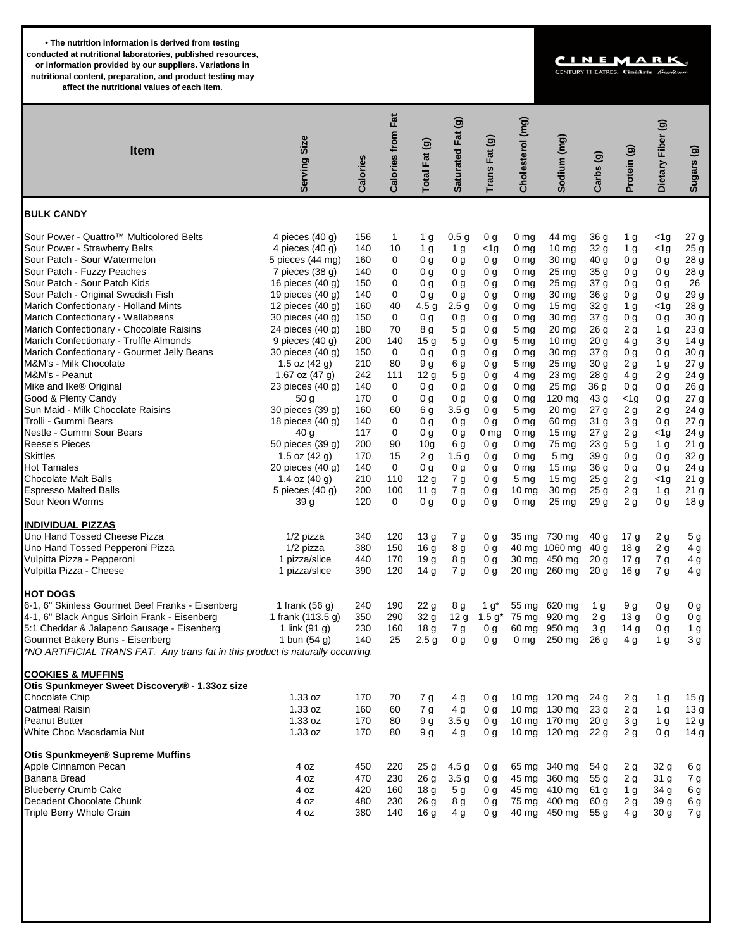**• The nutrition information is derived from testing conducted at nutritional laboratories, published resources, or information provided by our suppliers. Variations in nutritional content, preparation, and product testing may affect the nutritional values of each item.**

## CINEMAR CENTURY THEATRES. CinéArts. Z

 **Calories from Fat Calories from Fat Saturated Fat (g) Cholesterol (mg)** Saturated Fat (g) Cholesterol (mg) Dietary Fiber (g)  **Dietary Fiber (g)**  $(mq)$  **Serving Size Trans Fat (g) Sodium (mg)** ම otal Fat (g)  **Total Fat (g) Sugars (g) Item** rans Fat rotein (g)  $\mathbf{G}$  **Carbs (g) Calories** Sodium **Sugars BULK CANDY** Sour Power - Quattro™ Multicolored Belts 4 pieces (40 g) 156 1 1 g 0.5 g 0 g 0 mg 44 mg 36 g 1 g <1g 27 g<br>Sour Power - Strawberry Belts 1 mg 4 pieces (40 g) 140 10 1 g 1 g <1g 0 mg 10 mg 32 g 1 g <1g 25 g Sour Power - Strawberry Belts 4 pieces (40 g) 140 10 1 g 1 g <1g 0 mg 10 mg 32 g 1 g <1g 25 g Sour Patch - Sour Watermelon The Strip Control of the Spieces (44 mg) 160 0 0 g 0 g 0 g 0 mg 30 mg 40 g 0 g 28 g Sour Patch - Fuzzy Peaches 7 pieces (38 g) 140 0 0 g 0 g 0 g 0 mg 25 mg 35 g 0 g 0 g 28 g Sour Patch - Sour Patch Kids 16 pieces (40 g) 150 0 0 g 0 g 0 g 0 mg 25 mg 37 g 0 g 0 g 26 Sour Patch - Original Swedish Fish 19 pieces (40 g) 140 0 0 g 0 g 0 g 0 mg 30 mg 36 g 0 g 0 g 29 g Marich Confectionary - Holland Mints 12 pieces (40 g) 160 40 4.5 g 2.5 g 0 g 0 mg 15 mg 32 g 1 g <1g 28 g Marich Confectionary - Wallabeans and the state of the state of the state of the 30 mg 30 mg 30 mg Marich Confectionary - Chocolate Raisins 24 pieces (40 g) 180 70 8 g 5 g 0 g 5 mg 20 mg 26 g 2 g 1 g 23 g Marich Confectionary - Truffle Almonds 9 pieces (40 g) 200 140 15 g 5 g 0 g 5 mg 10 mg 20 g 4 g 3 g 14 g Marich Confectionary - Gourmet Jelly Beans 30 pieces (40 g) 150 0 0 g 0 g 0 g 0 mg 30 mg 37 g 0 g 0 g 30 g M&M's - Milk Chocolate 1.5 oz (42 g) 210 80 9 g 6 g 0 g 5 mg 25 mg 30 g 2 g 1 g 27 g M&M's - Peanut 1.67 oz (47 g) 242 111 12 g 5 g 0 g 4 mg 23 mg 28 g 4 g 2 g 24 g Mike and Ike® Original 23 pieces (40 g) 140 0 dg 0 g 0 g 0 mg 25 mg 36 g 0 g 0 g 26 g Good & Plenty Candy Canady 1990 and the state of the state of the state of the state of the state of the state<br>
Sun Maid - Milk Chocolate Raisins 1990 and the state of the state of the state of the state of the state of t<br> Sun Maid - Milk Chocolate Raisins 30 pieces (39 g) 160 60 6 g 3.5 g 0 g 5 mg 20 mg 27 g 2 g 2 g 24 g Trolli - Gummi Bears 18 pieces (40 g) 140 0 0 g 0 g 0 g 0 mg 60 mg 31 g 3 g 0 g 27 g Nestle - Gummi Sour Bears 40 g 117 0 0 g 0 g 0 mg 0 mg 15 mg 27 g 2 g <1g 24 g Reese's Pieces 50 pieces (39 g) 200 90 10g 6 g 0 g 0 mg 75 mg 23 g 5 g 1 g 21 g Skittles 1.5 oz (42 g) 170 15 2 g 1.5 g 0 g 0 mg 5 mg 39 g 0 g 0 g 32 g Hot Tamales 20 pieces (40 g) 140 0 0 g 0 g 0 g 0 mg 15 mg 36 g 0 g 0 g 24 g Chocolate Malt Balls 1.4 oz (40 g) 210 110 12 g 7 g 0 g 5 mg 15 mg 25 g 2 g <1g 21 g Espresso Malted Balls 6 and 5 pieces (40 g) 200 100 11 g 7 g 0 g 10 mg 30 mg 25 g 2 g 1 g Sour Neon Worms 39 g 120 0 0 g 0 g 0 g 0 mg 25 mg 29 g 2 g 0 g 18 g **INDIVIDUAL PIZZAS** Uno Hand Tossed Cheese Pizza 1/2 pizza 340 120 13 g 7 g 0 g 35 mg 730 mg 40 g 17 g 2 g 5 g Uno Hand Tossed Pepperoni Pizza 10 mm interval in 1/2 pizza 380 150 16 g 8 g 0 g 40 mg 1060 mg 40 g 18 g 2 g Vulpitta Pizza - Pepperoni 1 pizza/slice 440 170 19 g 8 g 0 g 30 mg 450 mg 20 g 17 g 7 g 4 g Vulpitta Pizza - Cheese 1 pizza/slice 390 120 14 g 7 g 0 g 20 mg 260 mg 20 g 16 g **HOT DOGS** 6-1, 6" Skinless Gourmet Beef Franks - Eisenberg 1 frank (56 g) 240 190 22 g 8 g 1 g\* 55 mg 620 mg 1 g 9 g 0 g 0 g 4-1, 6" Black Angus Sirloin Frank - Eisenberg 1 frank (113.5 g) 350 290 32 g 12 g 1.5 g\* 75 mg 920 mg 2 g 13 g 0 g 0 g<br>5:1 Cheddar & Jalapeno Sausage - Eisenberg 1 link (91 g) 230 160 18 g 7 g 0 g 60 mg 950 mg 3 g 14 g 0 g 5:1 Cheddar & Jalapeno Sausage - Eisenberg 1 link (91 g) 230 160 18 g 7 g 0 g 60 mg 950 mg 3 g 14 g 0 g 1 g<br>Gourmet Bakery Buns - Eisenberg 1 bun (54 g) 140 25 2.5 g 0 g 0 g 0 mg 250 mg 26 g 4 g 1 g 3 g Gourmet Bakery Buns - Eisenberg  $1$  bun (54 g)  $140$   $25$   $2.5$  g 0 g 0 g 0 mg  $250$  mg  $26$  g  $4$  g  $1$  g \*NO ARTIFICIAL TRANS FAT. Any trans fat in this product is naturally occurring. **COOKIES & MUFFINS Otis Spunkmeyer Sweet Discovery® - 1.33oz size** Chocolate Chip 1.33 oz 1.33 oz 170 70 7 g 4 g 0 g 10 mg 120 mg 24 g 2 g 1 g 15 g Oatmeal Raisin 1.33 oz 160 60 7 g 4 g 0 g 10 mg 130 mg 23 g 2 g 1 g 13 g Peanut Butter 1.33 oz 1.33 oz 1.33 oz 170 80 9 g 3.5 g 0 g 10 mg 170 mg 20 g 3 g 1 g 12 g White Choc Macadamia Nut **1.33 oz** 170 80 9g 4g 0g 10 mg 120 mg 22 g 2 g 0 g 14 g **Otis Spunkmeyer® Supreme Muffins** Apple Cinnamon Pecan 4 oz 450 220 25 g 4.5 g 0 g 65 mg 340 mg 54 g 2 g 32 g 6 g Banana Bread 4 oz 470 230 26 g 3.5 g 0 g 45 mg 360 mg 55 g 2 g 31 g 7 g Blueberry Crumb Cake 4 oz 420 160 18 g 5 g 0 g 45 mg 410 mg 61 g 1 g 34 g 6 g Decadent Chocolate Chunk 4 oz 480 230 26 g 8 g 0 g 75 mg 400 mg 60 g 2 g 39 g 6 g Triple Berry Whole Grain **1898 120 mga 10 ang 20 ang 20 ang 20 ang 20 ang 20 ang 20 ang 20 ang 20 ang 20 ang 20**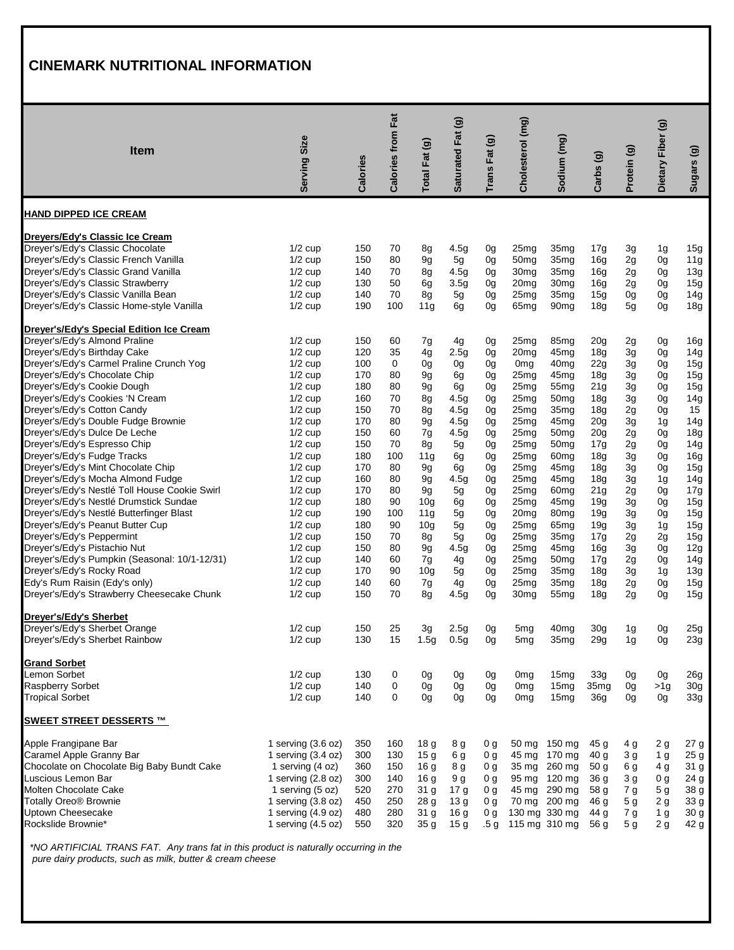## **CINEMARK NUTRITIONAL INFORMATION**

|                                                                             | Size                   |            | <b>Calories from Fat</b> |                 | Saturated Fat (g)    |                 | Cholesterol (mg)                   |                          |                         |                | Dietary Fiber (g)                 |                        |
|-----------------------------------------------------------------------------|------------------------|------------|--------------------------|-----------------|----------------------|-----------------|------------------------------------|--------------------------|-------------------------|----------------|-----------------------------------|------------------------|
| Item                                                                        |                        |            |                          |                 |                      |                 |                                    |                          |                         |                |                                   |                        |
|                                                                             | <b>Serving</b>         | Calories   |                          | Total Fat (g)   |                      | Trans Fat (g)   |                                    | Sodium (mg)              | Carbs (g)               | Protein (g)    |                                   | Sugars (g)             |
|                                                                             |                        |            |                          |                 |                      |                 |                                    |                          |                         |                |                                   |                        |
| <b>HAND DIPPED ICE CREAM</b>                                                |                        |            |                          |                 |                      |                 |                                    |                          |                         |                |                                   |                        |
| Dreyers/Edy's Classic Ice Cream                                             |                        |            |                          |                 |                      |                 |                                    |                          |                         |                |                                   |                        |
| Dreyer's/Edy's Classic Chocolate                                            | $1/2$ cup              | 150        | 70                       | 8g              | 4.5g                 | 0g              | 25mg                               | 35mg                     | 17g                     | 3g             | 1g                                | 15g                    |
| Dreyer's/Edy's Classic French Vanilla                                       | $1/2$ cup              | 150        | 80                       | 9g              | 5g                   | 0g              | 50 <sub>mg</sub>                   | 35mg                     | 16g                     | 2g             | 0g                                | 11g                    |
| Dreyer's/Edy's Classic Grand Vanilla                                        | $1/2$ cup              | 140        | 70                       | 8g              | 4.5g                 | 0g              | 30 <sub>mg</sub>                   | 35mg                     | 16g                     | 2g             | 0g                                | 13g                    |
| Dreyer's/Edy's Classic Strawberry                                           | $1/2$ cup              | 130        | 50                       | 6g              | 3.5g                 | 0g              | 20 <sub>mg</sub>                   | 30mg                     | 16g                     | 2g             | 0g                                | 15g                    |
| Dreyer's/Edy's Classic Vanilla Bean                                         | $1/2$ cup              | 140        | 70                       | 8g              | 5g                   | 0g              | 25mg                               | 35mg                     | 15g                     | 0g             | 0g                                | 14g                    |
| Dreyer's/Edy's Classic Home-style Vanilla                                   | $1/2$ cup              | 190        | 100                      | 11g             | 6g                   | 0g              | 65 <sub>mg</sub>                   | 90 <sub>mg</sub>         | 18g                     | 5g             | 0g                                | 18g                    |
| Dreyer's/Edy's Special Edition Ice Cream                                    |                        |            |                          |                 |                      |                 |                                    |                          |                         |                |                                   |                        |
| Dreyer's/Edy's Almond Praline                                               | $1/2$ cup              | 150        | 60                       | 7g              | 4g                   | 0g              | 25mg                               | 85 <sub>mg</sub>         | 20 <sub>g</sub>         | 2g             | 0g                                | 16g                    |
| Dreyer's/Edy's Birthday Cake                                                | $1/2$ cup              | 120        | 35                       | 4g              | 2.5g                 | 0g              | 20 <sub>mg</sub>                   | 45mg                     | 18g                     | 3g             | 0g                                | 14g                    |
| Dreyer's/Edy's Carmel Praline Crunch Yog                                    | $1/2$ cup              | 100        | 0                        | 0g              | 0g                   | 0g              | 0 <sub>mg</sub>                    | 40mg                     | 22g                     | 3g             | 0g                                | 15g                    |
| Dreyer's/Edy's Chocolate Chip                                               | $1/2$ cup<br>$1/2$ cup | 170        | 80                       | 9g              | 6g                   | 0g              | 25mg                               | 45mg                     | 18g                     | 3g             | 0g                                | 15g                    |
| Dreyer's/Edy's Cookie Dough<br>Dreyer's/Edy's Cookies 'N Cream              | $1/2$ cup              | 180<br>160 | 80<br>70                 | 9g              | 6g                   | 0g              | 25mg                               | 55mg                     | 21g                     | 3g             | 0g                                | 15g<br>14g             |
| Dreyer's/Edy's Cotton Candy                                                 | $1/2$ cup              | 150        | 70                       | 8g              | 4.5g<br>4.5g         | 0g<br>0g        | 25mg<br>25 <sub>mg</sub>           | 50mg<br>35mg             | 18 <sub>g</sub>         | 3g             | 0g                                | 15                     |
| Dreyer's/Edy's Double Fudge Brownie                                         | $1/2$ cup              | 170        | 80                       | 8g<br>9g        | 4.5g                 | 0g              | 25mg                               | 45mg                     | 18g<br>20 <sub>g</sub>  | 2g<br>3g       | 0g<br>1g                          | 14g                    |
| Dreyer's/Edy's Dulce De Leche                                               | $1/2$ cup              | 150        | 60                       | 7g              | 4.5g                 | 0g              | 25mg                               | 50 <sub>mg</sub>         | 20 <sub>g</sub>         | 2g             | 0g                                | 18g                    |
| Dreyer's/Edy's Espresso Chip                                                | $1/2$ cup              | 150        | 70                       | 8g              | 5g                   | 0g              | 25mg                               | 50mg                     | 17g                     | 2g             | 0g                                | 14g                    |
| Dreyer's/Edy's Fudge Tracks                                                 | $1/2$ cup              | 180        | 100                      | 11g             | 6g                   | 0g              | 25mg                               | 60 <sub>mg</sub>         | 18g                     | 3g             | 0g                                | 16g                    |
| Dreyer's/Edy's Mint Chocolate Chip                                          | $1/2$ cup              | 170        | 80                       | 9g              | 6g                   | 0g              | 25mg                               | 45mg                     | 18g                     | 3g             | 0g                                | 15g                    |
| Dreyer's/Edy's Mocha Almond Fudge                                           | $1/2$ cup              | 160        | 80                       | 9g              | 4.5g                 | 0g              | 25mg                               | 45mg                     | 18g                     | 3g             | 1g                                | 14g                    |
| Dreyer's/Edy's Nestlé Toll House Cookie Swirl                               | $1/2$ cup              | 170        | 80                       | 9g              | 5g                   | 0g              | 25mg                               | 60 <sub>mg</sub>         | 21 <sub>g</sub>         | 2g             | 0g                                | 17g                    |
| Dreyer's/Edy's Nestlé Drumstick Sundae                                      | $1/2$ cup              | 180        | 90                       | 10 <sub>g</sub> | 6g                   | 0g              | 25mg                               | 45mg                     | 19g                     | 3g             | 0g                                | 15g                    |
| Dreyer's/Edy's Nestlé Butterfinger Blast                                    | $1/2$ cup              | 190        | 100                      | 11g             | 5g                   | 0g              | 20 <sub>mg</sub>                   | 80mg                     | 19q                     | 3g             | 0g                                | 15g                    |
| Dreyer's/Edy's Peanut Butter Cup                                            | $1/2$ cup              | 180        | 90                       | 10 <sub>g</sub> | 5g                   | 0g              | 25mg                               | 65mg                     | 19g                     | 3g             | 1g                                | 15g                    |
| Dreyer's/Edy's Peppermint                                                   | $1/2$ cup              | 150        | 70                       | 8g              | 5g                   | 0g              | 25mg                               | 35mg                     | 17g                     | 2g             | 2g                                | 15g                    |
| Dreyer's/Edy's Pistachio Nut                                                | $1/2$ cup              | 150        | 80                       | 9g              | 4.5g                 | 0g              | 25mg                               | 45 <sub>mg</sub>         | 16g                     | 3g             | 0g                                | 12g                    |
| Dreyer's/Edy's Pumpkin (Seasonal: 10/1-12/31)                               | $1/2$ cup              | 140        | 60                       | 7g              | 4g                   | 0g              | 25mg                               | 50mg                     | 17g                     | 2g             | 0g                                | 14g                    |
| Dreyer's/Edy's Rocky Road                                                   | $1/2$ cup              | 170        | 90                       | 10 <sub>q</sub> | 5g                   | 0g              | 25mg                               | 35mg                     | 18g                     | 3g             | 1g                                | 13g                    |
| Edy's Rum Raisin (Edy's only)<br>Dreyer's/Edy's Strawberry Cheesecake Chunk | $1/2$ cup              | 140        | 60<br>70                 | 7g              | 4g                   | 0g              | 25mg                               | 35mg                     | 18g                     | 2g             | 0g                                | 15g                    |
|                                                                             | $1/2$ cup              | 150        |                          | 8g              | 4.5g                 | 0g              | 30 <sub>mg</sub>                   | 55mg                     | 18g                     | 2g             | 0g                                | 15g                    |
| Dreyer's/Edy's Sherbet                                                      |                        |            |                          |                 |                      |                 |                                    |                          |                         |                |                                   |                        |
| Dreyer's/Edy's Sherbet Orange<br>Dreyer's/Edy's Sherbet Rainbow             | $1/2$ cup<br>$1/2$ cup | 150<br>130 | 25<br>15                 | 3g<br>1.5g      | 2.5g<br>0.5g         | 0g<br>0g        | 5mg<br>5 <sub>mg</sub>             | 40mg<br>35 <sub>mg</sub> | 30 <sub>q</sub><br>29g  | 1g<br>1g       | 0g<br>0g                          | 25g<br>23g             |
|                                                                             |                        |            |                          |                 |                      |                 |                                    |                          |                         |                |                                   |                        |
| <b>Grand Sorbet</b>                                                         |                        |            |                          |                 |                      |                 |                                    |                          |                         |                |                                   |                        |
| Lemon Sorbet                                                                | $1/2$ cup              | 130        | 0                        | 0g              | 0 <sub>g</sub>       | 0g              | 0 <sub>mg</sub>                    | 15mg                     | 33g                     | 0g             | 0g                                | 26g                    |
| <b>Raspberry Sorbet</b><br><b>Tropical Sorbet</b>                           | $1/2$ cup<br>$1/2$ cup | 140<br>140 | 0<br>0                   | 0g<br>0g        | 0g<br>0 <sub>g</sub> | 0g<br>0g        | 0 <sub>mg</sub><br>0 <sub>mg</sub> | 15mg<br>15 <sub>mg</sub> | 35 <sub>mg</sub><br>36g | 0g<br>0g       | >1 <sub>q</sub><br>0 <sub>g</sub> | 30 <sub>g</sub><br>33g |
| <b>SWEET STREET DESSERTS ™</b>                                              |                        |            |                          |                 |                      |                 |                                    |                          |                         |                |                                   |                        |
| Apple Frangipane Bar                                                        | 1 serving $(3.6 oz)$   | 350        | 160                      | 18 g            | 8 g                  | 0 g             |                                    | 50 mg 150 mg             | 45 g                    | 4 g            | 2g                                | 27 g                   |
| Caramel Apple Granny Bar                                                    | 1 serving $(3.4 oz)$   | 300        | 130                      | 15 <sub>g</sub> | 6 g                  | 0 g             | 45 mg                              | 170 mg                   | 40 <sub>g</sub>         | 3g             | 1 <sub>g</sub>                    | 25 g                   |
| Chocolate on Chocolate Big Baby Bundt Cake                                  | 1 serving (4 oz)       | 360        | 150                      | 16 <sub>g</sub> | 8 g                  | 0 g             |                                    | 35 mg 260 mg             | 50 <sub>g</sub>         | 6 g            | 4 <sub>g</sub>                    | 31 g                   |
| Luscious Lemon Bar                                                          | 1 serving $(2.8 oz)$   | 300        | 140                      | 16 <sub>g</sub> | 9q                   | 0 g             |                                    | 95 mg 120 mg             | 36 <sub>g</sub>         | 3 g            | 0 g                               | 24 g                   |
| Molten Chocolate Cake                                                       | 1 serving (5 oz)       | 520        | 270                      | 31 g            | 17 <sub>g</sub>      | 0 g             |                                    | 45 mg 290 mg             | 58 g                    | 7 g            | 5 <sub>g</sub>                    | 38 g                   |
| <b>Totally Oreo® Brownie</b>                                                | 1 serving $(3.8 oz)$   | 450        | 250                      | 28 <sub>g</sub> | 13 <sub>g</sub>      | 0 <sub>q</sub>  |                                    | 70 mg 200 mg             | 46 g                    | 5 <sub>g</sub> | 2g                                | 33 g                   |
| Uptown Cheesecake                                                           | 1 serving $(4.9 oz)$   | 480        | 280                      | 31 g            | 16 <sub>g</sub>      | 0 g             |                                    | 130 mg 330 mg            | 44 g                    | 7 g            | 1 <sub>g</sub>                    | 30 g                   |
| Rockslide Brownie*                                                          | 1 serving $(4.5 oz)$   | 550        | 320                      | 35 <sub>g</sub> | 15 <sub>g</sub>      | .5 <sub>q</sub> |                                    | 115 mg 310 mg            | 56 g                    | 5 <sub>g</sub> | 2g                                | 42 g                   |

 \*NO ARTIFICIAL TRANS FAT. Any trans fat in this product is naturally occurring in the pure dairy products, such as milk, butter & cream cheese